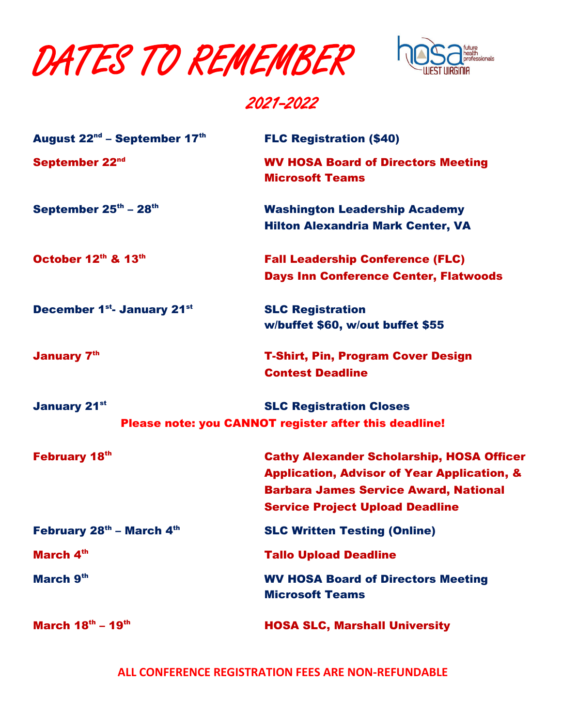DATES TO REMEMBER



## 2021-2022

| August 22 <sup>nd</sup> – September 17th | <b>FLC Registration (\$40)</b>                                                                                                                                                                       |
|------------------------------------------|------------------------------------------------------------------------------------------------------------------------------------------------------------------------------------------------------|
| September 22nd                           | <b>WV HOSA Board of Directors Meeting</b><br><b>Microsoft Teams</b>                                                                                                                                  |
| September 25th - 28th                    | <b>Washington Leadership Academy</b><br><b>Hilton Alexandria Mark Center, VA</b>                                                                                                                     |
| October 12th & 13th                      | <b>Fall Leadership Conference (FLC)</b><br><b>Days Inn Conference Center, Flatwoods</b>                                                                                                              |
| <b>December 1st- January 21st</b>        | <b>SLC Registration</b><br>w/buffet \$60, w/out buffet \$55                                                                                                                                          |
| <b>January 7th</b>                       | <b>T-Shirt, Pin, Program Cover Design</b><br><b>Contest Deadline</b>                                                                                                                                 |
| <b>January 21st</b>                      | <b>SLC Registration Closes</b><br>Please note: you CANNOT register after this deadline!                                                                                                              |
| <b>February 18th</b>                     | <b>Cathy Alexander Scholarship, HOSA Officer</b><br><b>Application, Advisor of Year Application, &amp;</b><br><b>Barbara James Service Award, National</b><br><b>Service Project Upload Deadline</b> |
| February 28th - March 4th                | <b>SLC Written Testing (Online)</b>                                                                                                                                                                  |
| March 4th                                | <b>Tallo Upload Deadline</b>                                                                                                                                                                         |
| March 9th                                | <b>WV HOSA Board of Directors Meeting</b><br><b>Microsoft Teams</b>                                                                                                                                  |
| March $18^{\text{th}} - 19^{\text{th}}$  | <b>HOSA SLC, Marshall University</b>                                                                                                                                                                 |

**ALL CONFERENCE REGISTRATION FEES ARE NON-REFUNDABLE**